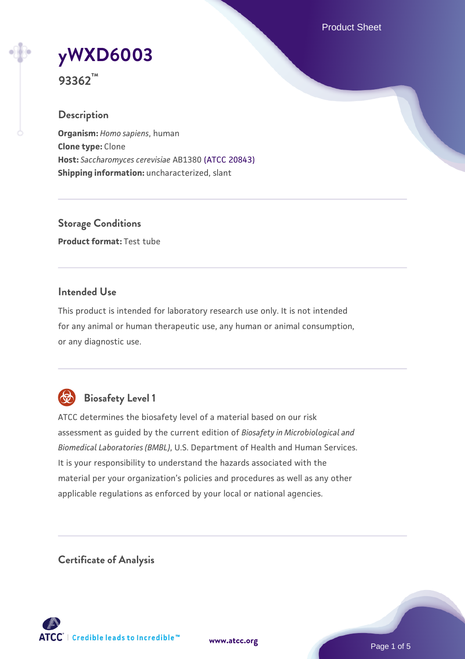Product Sheet

# **[yWXD6003](https://www.atcc.org/products/93362)**

**93362™**

# **Description**

**Organism:** *Homo sapiens*, human **Clone type:** Clone **Host:** *Saccharomyces cerevisiae* AB1380 [\(ATCC 20843\)](https://www.atcc.org/products/20843) **Shipping information:** uncharacterized, slant

**Storage Conditions Product format:** Test tube

# **Intended Use**

This product is intended for laboratory research use only. It is not intended for any animal or human therapeutic use, any human or animal consumption, or any diagnostic use.



# **Biosafety Level 1**

ATCC determines the biosafety level of a material based on our risk assessment as guided by the current edition of *Biosafety in Microbiological and Biomedical Laboratories (BMBL)*, U.S. Department of Health and Human Services. It is your responsibility to understand the hazards associated with the material per your organization's policies and procedures as well as any other applicable regulations as enforced by your local or national agencies.

**Certificate of Analysis**

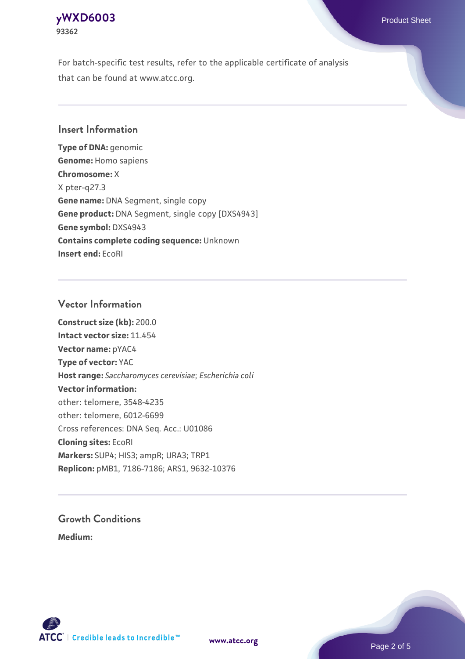# **[yWXD6003](https://www.atcc.org/products/93362)** Product Sheet **93362**

For batch-specific test results, refer to the applicable certificate of analysis that can be found at www.atcc.org.

# **Insert Information**

**Type of DNA:** genomic **Genome:** Homo sapiens **Chromosome:** X X pter-q27.3 **Gene name:** DNA Segment, single copy **Gene product:** DNA Segment, single copy [DXS4943] **Gene symbol:** DXS4943 **Contains complete coding sequence:** Unknown **Insert end:** EcoRI

# **Vector Information**

**Construct size (kb):** 200.0 **Intact vector size:** 11.454 **Vector name:** pYAC4 **Type of vector:** YAC **Host range:** *Saccharomyces cerevisiae*; *Escherichia coli* **Vector information:** other: telomere, 3548-4235 other: telomere, 6012-6699 Cross references: DNA Seq. Acc.: U01086 **Cloning sites:** EcoRI **Markers:** SUP4; HIS3; ampR; URA3; TRP1 **Replicon:** pMB1, 7186-7186; ARS1, 9632-10376

# **Growth Conditions**

**Medium:** 



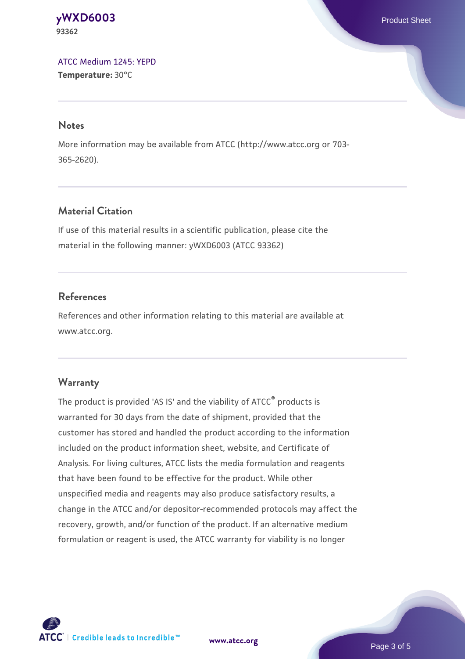#### **[yWXD6003](https://www.atcc.org/products/93362)** Product Sheet **93362**

[ATCC Medium 1245: YEPD](https://www.atcc.org/-/media/product-assets/documents/microbial-media-formulations/1/2/4/5/atcc-medium-1245.pdf?rev=705ca55d1b6f490a808a965d5c072196) **Temperature:** 30°C

#### **Notes**

More information may be available from ATCC (http://www.atcc.org or 703- 365-2620).

# **Material Citation**

If use of this material results in a scientific publication, please cite the material in the following manner: yWXD6003 (ATCC 93362)

# **References**

References and other information relating to this material are available at www.atcc.org.

# **Warranty**

The product is provided 'AS IS' and the viability of ATCC® products is warranted for 30 days from the date of shipment, provided that the customer has stored and handled the product according to the information included on the product information sheet, website, and Certificate of Analysis. For living cultures, ATCC lists the media formulation and reagents that have been found to be effective for the product. While other unspecified media and reagents may also produce satisfactory results, a change in the ATCC and/or depositor-recommended protocols may affect the recovery, growth, and/or function of the product. If an alternative medium formulation or reagent is used, the ATCC warranty for viability is no longer



**[www.atcc.org](http://www.atcc.org)**

Page 3 of 5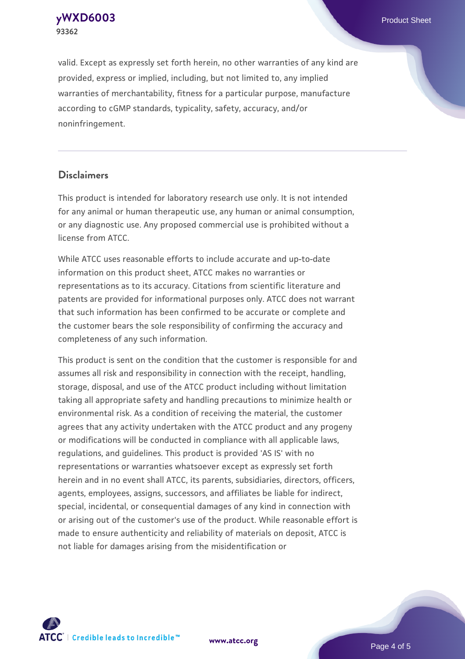**[yWXD6003](https://www.atcc.org/products/93362)** Product Sheet **93362**

valid. Except as expressly set forth herein, no other warranties of any kind are provided, express or implied, including, but not limited to, any implied warranties of merchantability, fitness for a particular purpose, manufacture according to cGMP standards, typicality, safety, accuracy, and/or noninfringement.

#### **Disclaimers**

This product is intended for laboratory research use only. It is not intended for any animal or human therapeutic use, any human or animal consumption, or any diagnostic use. Any proposed commercial use is prohibited without a license from ATCC.

While ATCC uses reasonable efforts to include accurate and up-to-date information on this product sheet, ATCC makes no warranties or representations as to its accuracy. Citations from scientific literature and patents are provided for informational purposes only. ATCC does not warrant that such information has been confirmed to be accurate or complete and the customer bears the sole responsibility of confirming the accuracy and completeness of any such information.

This product is sent on the condition that the customer is responsible for and assumes all risk and responsibility in connection with the receipt, handling, storage, disposal, and use of the ATCC product including without limitation taking all appropriate safety and handling precautions to minimize health or environmental risk. As a condition of receiving the material, the customer agrees that any activity undertaken with the ATCC product and any progeny or modifications will be conducted in compliance with all applicable laws, regulations, and guidelines. This product is provided 'AS IS' with no representations or warranties whatsoever except as expressly set forth herein and in no event shall ATCC, its parents, subsidiaries, directors, officers, agents, employees, assigns, successors, and affiliates be liable for indirect, special, incidental, or consequential damages of any kind in connection with or arising out of the customer's use of the product. While reasonable effort is made to ensure authenticity and reliability of materials on deposit, ATCC is not liable for damages arising from the misidentification or



**[www.atcc.org](http://www.atcc.org)**

Page 4 of 5